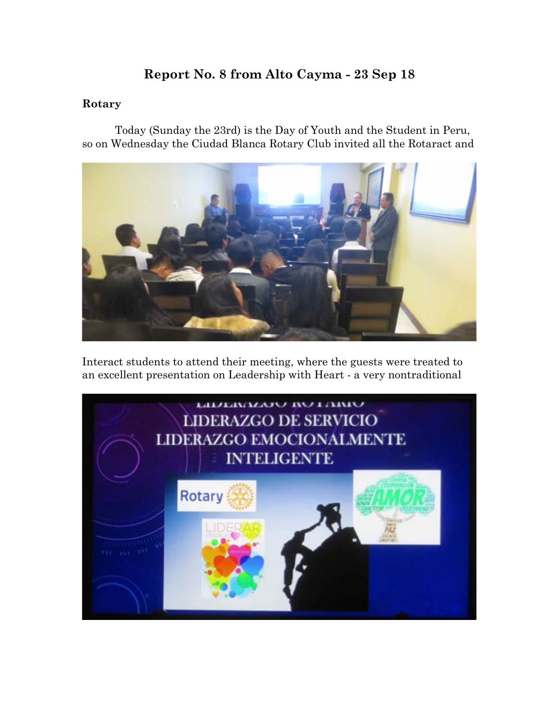# **Report No. 8 from Alto Cayma - 23 Sep 18**

## **Rotary**

Today (Sunday the 23rd) is the Day of Youth and the Student in Peru, so on Wednesday the Ciudad Blanca Rotary Club invited all the Rotaract and



Interact students to attend their meeting, where the guests were treated to an excellent presentation on Leadership with Heart - a very nontraditional

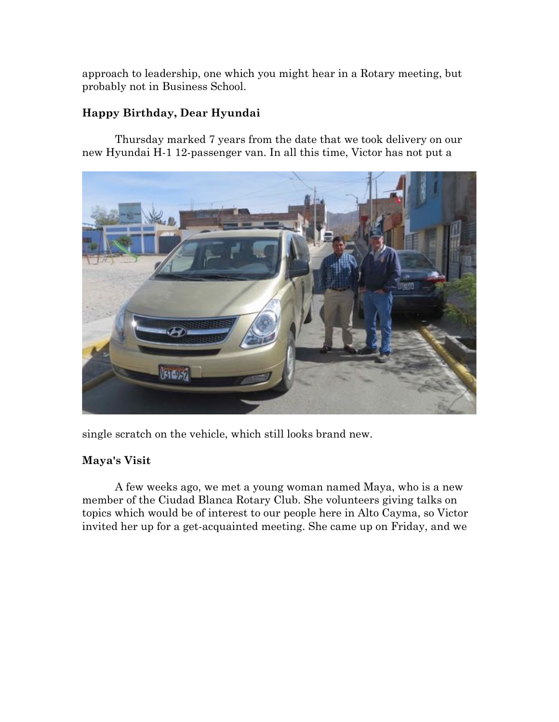approach to leadership, one which you might hear in a Rotary meeting, but probably not in Business School.

## **Happy Birthday, Dear Hyundai**

Thursday marked 7 years from the date that we took delivery on our new Hyundai H-1 12-passenger van. In all this time, Victor has not put a



single scratch on the vehicle, which still looks brand new.

## **Maya's Visit**

A few weeks ago, we met a young woman named Maya, who is a new member of the Ciudad Blanca Rotary Club. She volunteers giving talks on topics which would be of interest to our people here in Alto Cayma, so Victor invited her up for a get-acquainted meeting. She came up on Friday, and we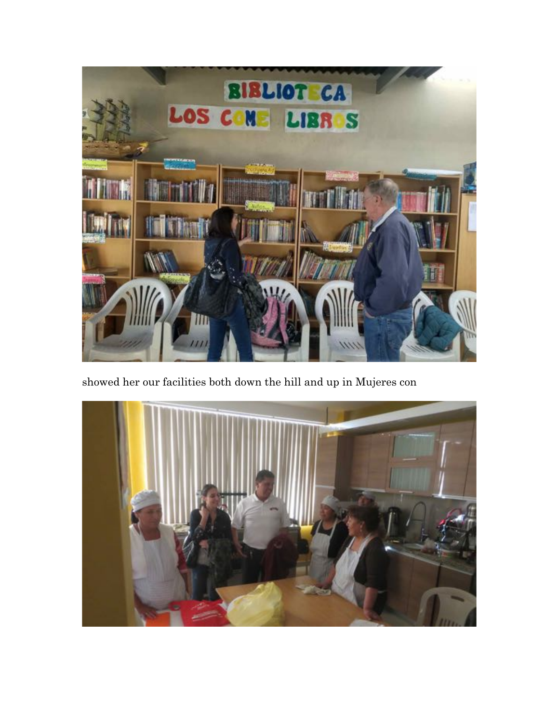

showed her our facilities both down the hill and up in Mujeres con

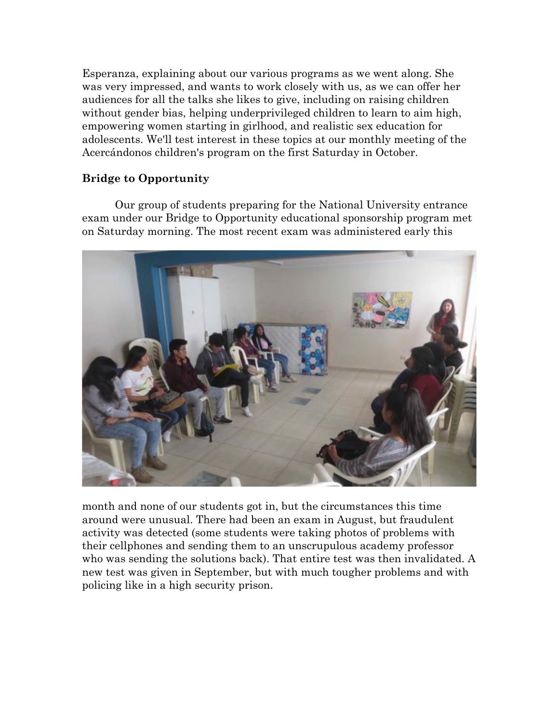Esperanza, explaining about our various programs as we went along. She was very impressed, and wants to work closely with us, as we can offer her audiences for all the talks she likes to give, including on raising children without gender bias, helping underprivileged children to learn to aim high, empowering women starting in girlhood, and realistic sex education for adolescents. We'll test interest in these topics at our monthly meeting of the Acercándonos children's program on the first Saturday in October.

### **Bridge to Opportunity**

Our group of students preparing for the National University entrance exam under our Bridge to Opportunity educational sponsorship program met on Saturday morning. The most recent exam was administered early this



month and none of our students got in, but the circumstances this time around were unusual. There had been an exam in August, but fraudulent activity was detected (some students were taking photos of problems with their cellphones and sending them to an unscrupulous academy professor who was sending the solutions back). That entire test was then invalidated. A new test was given in September, but with much tougher problems and with policing like in a high security prison.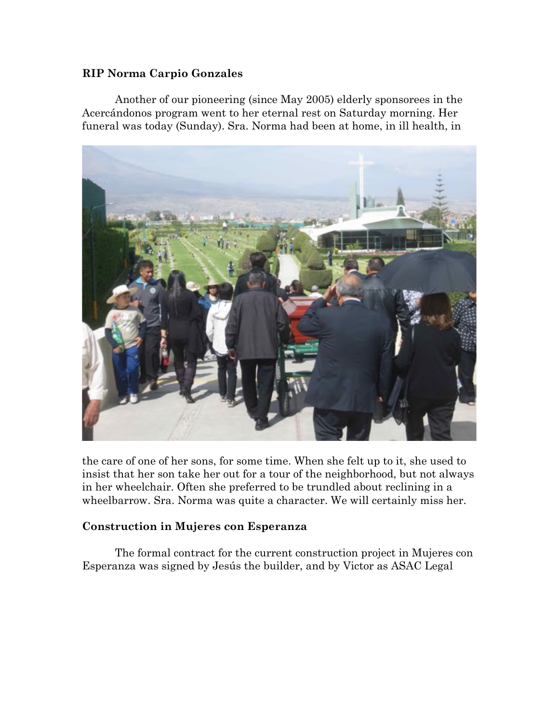### **RIP Norma Carpio Gonzales**

Another of our pioneering (since May 2005) elderly sponsorees in the Acercándonos program went to her eternal rest on Saturday morning. Her funeral was today (Sunday). Sra. Norma had been at home, in ill health, in



the care of one of her sons, for some time. When she felt up to it, she used to insist that her son take her out for a tour of the neighborhood, but not always in her wheelchair. Often she preferred to be trundled about reclining in a wheelbarrow. Sra. Norma was quite a character. We will certainly miss her.

### **Construction in Mujeres con Esperanza**

The formal contract for the current construction project in Mujeres con Esperanza was signed by Jesús the builder, and by Victor as ASAC Legal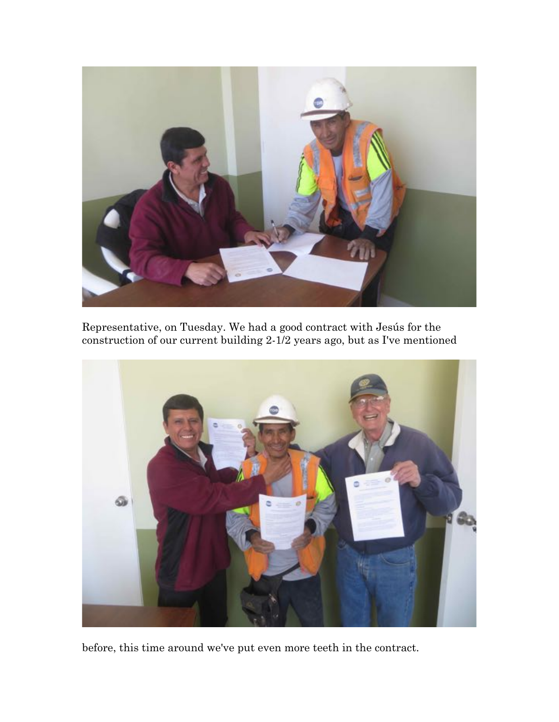

Representative, on Tuesday. We had a good contract with Jesús for the construction of our current building 2-1/2 years ago, but as I've mentioned



before, this time around we've put even more teeth in the contract.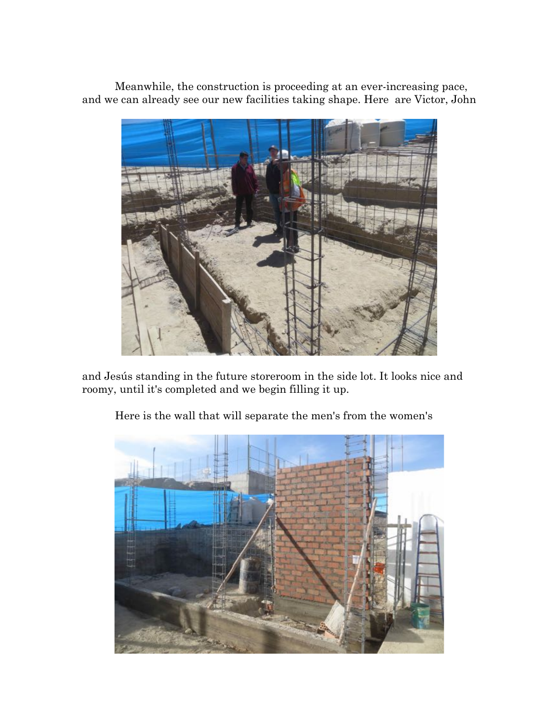Meanwhile, the construction is proceeding at an ever-increasing pace, and we can already see our new facilities taking shape. Here are Victor, John



and Jesús standing in the future storeroom in the side lot. It looks nice and roomy, until it's completed and we begin filling it up.



Here is the wall that will separate the men's from the women's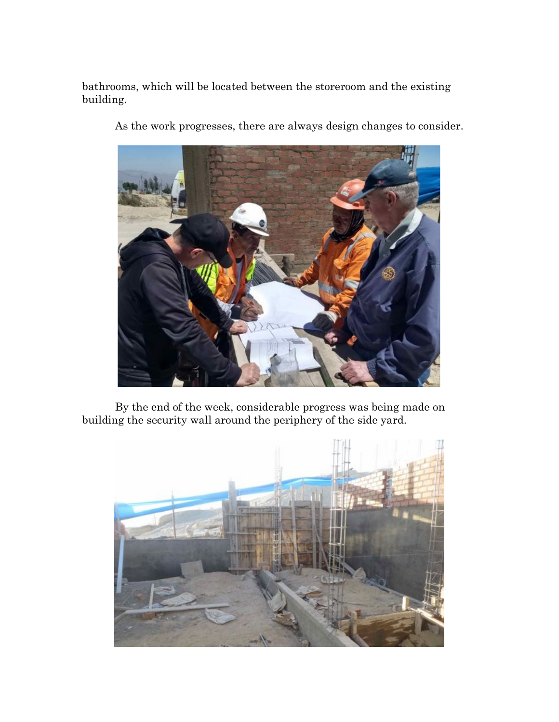bathrooms, which will be located between the storeroom and the existing building.



As the work progresses, there are always design changes to consider.

By the end of the week, considerable progress was being made on building the security wall around the periphery of the side yard.